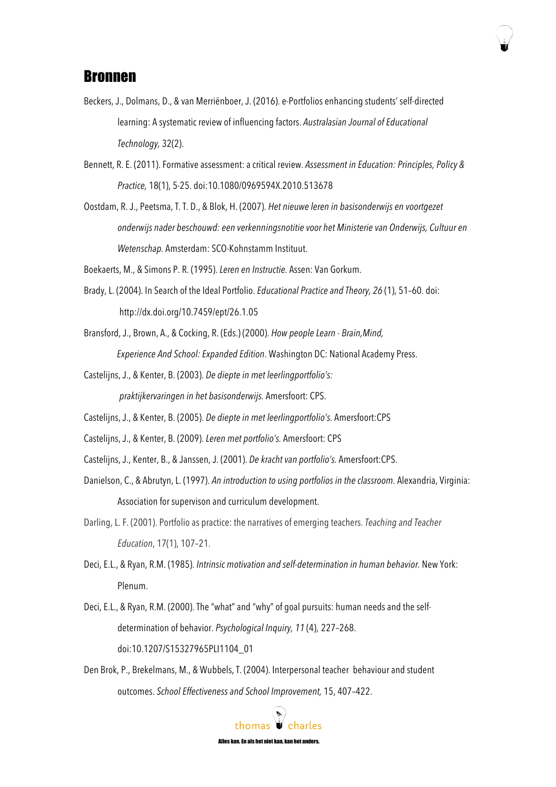

## Bronnen

- Beckers, J., Dolmans, D., & van Merriënboer, J. (2016). e-Portfolios enhancing students' self-directed learning: A systematic review of influencing factors. *Australasian Journal of Educational Technology,* 32(2).
- Bennett, R. E. (2011).Formative assessment: a critical review. *Assessment in Education: Principles, Policy & Practice,* 18(1), 5-25. doi:10.1080/0969594X.2010.513678
- Oostdam, R. J., Peetsma, T. T. D., & Blok, H. (2007). *Het nieuwe leren in basisonderwijs en voortgezet onderwijs nader beschouwd: een verkenningsnotitie voor het Ministerie van Onderwijs, Cultuur en Wetenschap.* Amsterdam: SCO-Kohnstamm Instituut.
- Boekaerts, M., & Simons P. R. (1995). *Leren en Instructie.* Assen: Van Gorkum.
- Brady, L. (2004). In Search of the Ideal Portfolio. *Educational Practice and Theory, 26* (1), 51–60. doi: http://dx.doi.org/10.7459/ept/26.1.05
- Bransford, J., Brown, A., & Cocking, R. (Eds.) (2000). *How people Learn - Brain,Mind, Experience And School: Expanded Edition*. Washington DC: National Academy Press.
- Castelijns, J., & Kenter, B. (2003). *De diepte in met leerlingportfolio's: praktijkervaringen in het basisonderwijs.* Amersfoort: CPS.
- Castelijns, J., & Kenter, B. (2005). *De diepte in met leerlingportfolio's.* Amersfoort:CPS
- Castelijns, J., & Kenter, B. (2009). *Leren met portfolio's.* Amersfoort: CPS
- Castelijns, J., Kenter, B., & Janssen, J. (2001). *De kracht van portfolio's.* Amersfoort:CPS.
- Danielson, C., & Abrutyn, L. (1997). *An introduction to using portfolios in the classroom.* Alexandria, Virginia: Association for supervison and curriculum development.
- Darling, L. F. (2001). Portfolio as practice: the narratives of emerging teachers. *Teaching and Teacher Education*, 17(1), 107–21.
- Deci, E.L., & Ryan, R.M. (1985). *Intrinsic motivation and self-determination in human behavior.* New York: Plenum.
- Deci, E.L., & Ryan, R.M. (2000). The "what" and "why" of goal pursuits: human needs and the selfdetermination of behavior. *Psychological Inquiry, 11* (4), 227–268. doi:10.1207/S15327965PLI1104\_01
- Den Brok, P., Brekelmans, M., & Wubbels, T. (2004). Interpersonal teacher behaviour and student outcomes. *School Effectiveness and School Improvement,* 15, 407–422.

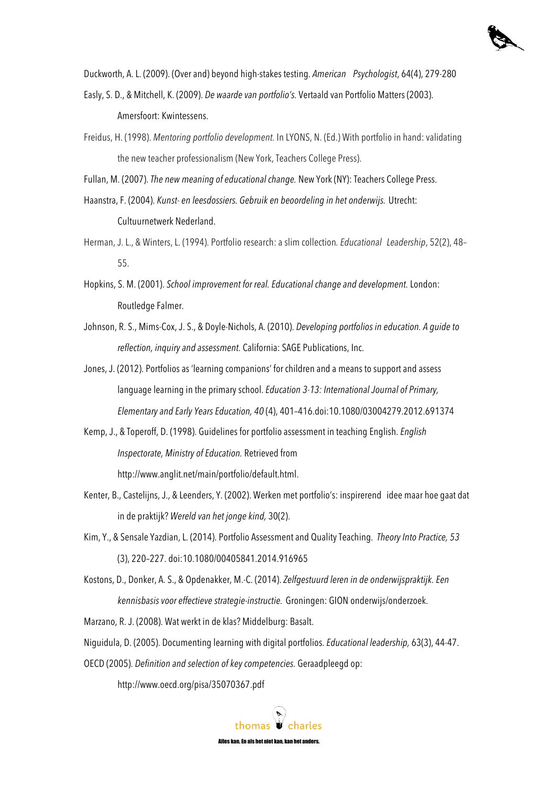

Duckworth, A. L. (2009). (Over and) beyond high-stakes testing. *American Psychologist*, 64(4), 279-280

- Easly, S. D., & Mitchell, K. (2009). *De waarde van portfolio's.* Vertaald van Portfolio Matters (2003). Amersfoort: Kwintessens.
- Freidus, H. (1998). *Mentoring portfolio development.* In LYONS, N. (Ed.) With portfolio in hand: validating the new teacher professionalism (New York, Teachers College Press).

Fullan, M. (2007). *The new meaning of educational change.* New York (NY): Teachers College Press.

Haanstra,F. (2004). *Kunst- en leesdossiers. Gebruik en beoordeling in het onderwijs.* Utrecht: Cultuurnetwerk Nederland.

- Herman, J. L., & Winters, L. (1994). Portfolio research: a slim collection*. Educational Leadership*, 52(2), 48– 55.
- Hopkins, S. M. (2001). *School improvement for real. Educational change and development.* London: Routledge Falmer.
- Johnson, R. S., Mims-Cox, J. S., & Doyle-Nichols, A. (2010). *Developing portfolios in education. A guide to reflection, inquiry and assessment.* California: SAGE Publications, Inc.
- Jones, J. (2012). Portfolios as 'learning companions' for children and a means to support and assess language learning in the primary school. *Education 3-13: International Journal of Primary, Elementary and Early Years Education, 40* (4), 401–416.doi:10.1080/03004279.2012.691374
- Kemp, J., & Toperoff, D. (1998). Guidelines for portfolio assessment in teaching English. *English Inspectorate, Ministry of Education.* Retrieved from http://www.anglit.net/main/portfolio/default.html.
- Kenter, B., Castelijns, J., & Leenders, Y. (2002). Werken met portfolio's: inspirerend idee maar hoe gaat dat in de praktijk? *Wereld van het jonge kind,* 30(2).
- Kim, Y., & Sensale Yazdian, L. (2014). Portfolio Assessment and Quality Teaching. *Theory Into Practice, 53*  (3), 220–227. doi:10.1080/00405841.2014.916965
- Kostons, D., Donker, A. S., & Opdenakker, M.-C. (2014). *Zelfgestuurd leren in de onderwijspraktijk. Een kennisbasis voor effectieve strategie-instructie.* Groningen: GION onderwijs/onderzoek.

Marzano, R. J. (2008). Wat werkt in de klas? Middelburg: Basalt.

Niguidula, D. (2005). Documenting learning with digital portfolios. *Educational leadership,* 63(3), 44-47.

OECD (2005). *Definition and selection of key competencies.* Geraadpleegd op:

http://www.oecd.org/pisa/35070367.pdf

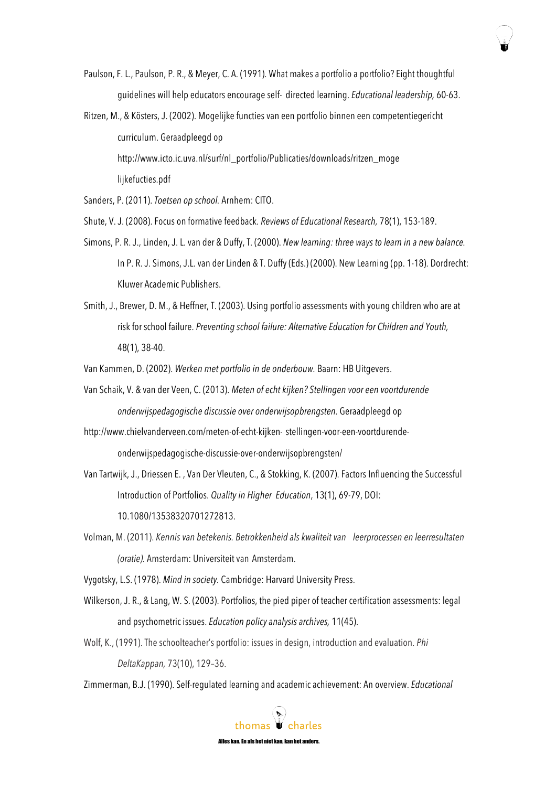- Paulson, F. L., Paulson, P. R., & Meyer, C. A. (1991). What makes a portfolio a portfolio? Eight thoughtful guidelines will help educators encourage self- directed learning. *Educational leadership,* 60-63.
- Ritzen, M., & Kösters, J. (2002). Mogelijke functies van een portfolio binnen een competentiegericht curriculum. Geraadpleegd op http://www.icto.ic.uva.nl/surf/nl\_portfolio/Publicaties/downloads/ritzen\_moge lijkefucties.pdf

Sanders, P. (2011). *Toetsen op school.* Arnhem: CITO.

- Shute, V. J. (2008).Focus on formative feedback. *Reviews of Educational Research,* 78(1), 153-189.
- Simons, P. R. J., Linden, J. L. van der & Duffy, T. (2000). *New learning: three ways to learn in a new balance.*  In P. R. J. Simons, J.L. van der Linden & T. Duffy (Eds.) (2000). New Learning (pp. 1-18). Dordrecht: Kluwer Academic Publishers.
- Smith, J., Brewer, D. M., & Heffner, T. (2003). Using portfolio assessments with young children who are at risk for school failure. *Preventing school failure: Alternative Education for Children and Youth,*  48(1), 38-40.

Van Kammen, D. (2002). *Werken met portfolio in de onderbouw.* Baarn: HB Uitgevers.

- Van Schaik, V. & van der Veen, C. (2013). *Meten of echt kijken? Stellingen voor een voortdurende onderwijspedagogische discussie over onderwijsopbrengsten.* Geraadpleegd op
- http://www.chielvanderveen.com/meten-of-echt-kijken- stellingen-voor-een-voortdurendeonderwijspedagogische-discussie-over-onderwijsopbrengsten/
- Van Tartwijk, J., Driessen E. , Van Der Vleuten, C., & Stokking, K. (2007). Factors Influencing the Successful Introduction of Portfolios. *Quality in Higher Education*, 13(1), 69-79, DOI: 10.1080/13538320701272813.
- Volman, M. (2011). *Kennis van betekenis. Betrokkenheid alskwaliteit van leerprocessen en leerresultaten (oratie).* Amsterdam: Universiteit van Amsterdam.

Vygotsky, L.S. (1978). *Mind in society.* Cambridge: Harvard University Press.

- Wilkerson, J. R., & Lang, W. S. (2003). Portfolios, the pied piper of teacher certification assessments: legal and psychometric issues. *Education policy analysis archives,* 11(45).
- Wolf, K., (1991). The schoolteacher's portfolio: issues in design, introduction and evaluation. *Phi DeltaKappan,* 73(10), 129–36.

Zimmerman, B.J. (1990). Self-regulated learning and academic achievement: An overview. *Educational*